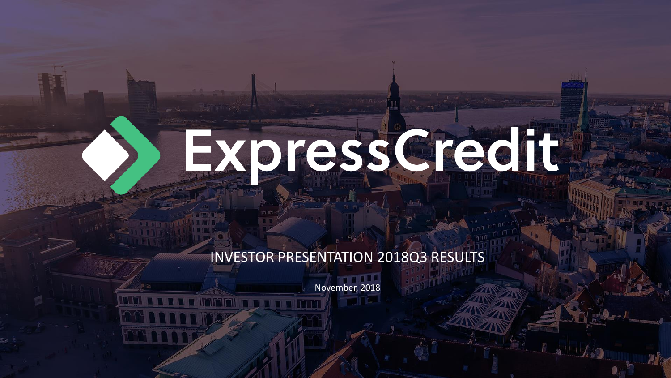# Expressioned to

## INVESTOR PRESENTATION 2018Q3 RESULTS

November, 2018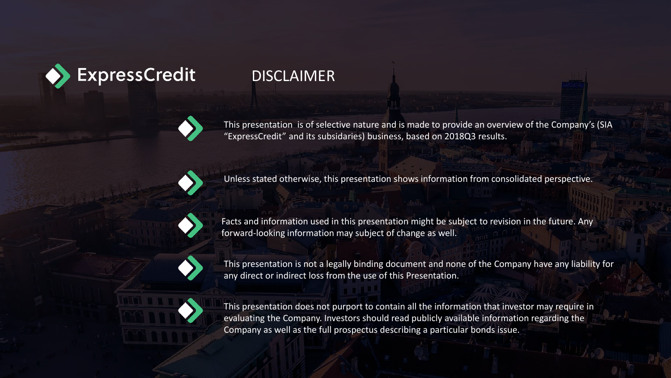

## **DISCLAIMER**

This presentation is of selective nature and is made to provide an overview of the Company's (SIA "ExpressCredit" and its subsidaries) business, based on 2018Q3 results.



Unless stated otherwise, this presentation shows information from consolidated perspective.



Facts and information used in this presentation might be subject to revision in the future. Any forward-looking information may subject of change as well.



This presentation is not a legally binding document and none of the Company have any liability for any direct or indirect loss from the use of this Presentation.



This presentation does not purport to contain all the information that investor may require in evaluating the Company. Investors should read publicly available information regarding the Company as well as the full prospectus describing a particular bonds issue.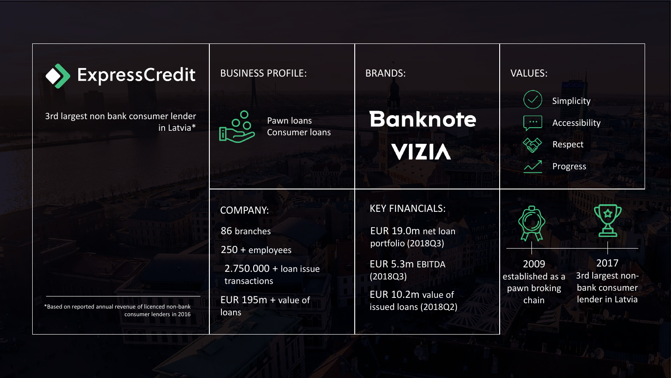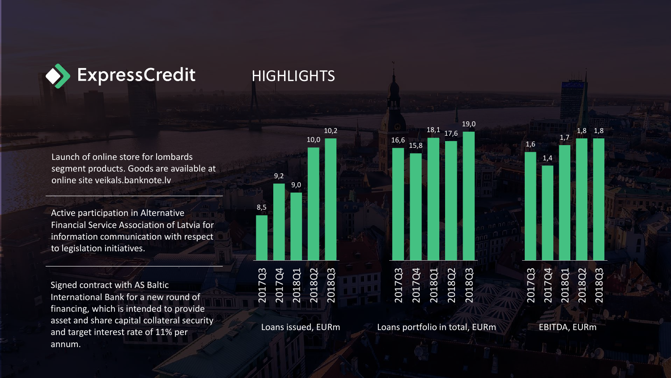

#### **HIGHLIGHTS**

Launch of online store for lombards segment products. Goods are available at online site veikals.banknote.lv

Active participation in Alternative Financial Service Association of Latvia for information communication with respect to legislation initiatives.

Signed contract with AS Baltic International Bank for a new round of financing, which is intended to provide asset and share capital collateral security and target interest rate of 11% per annum.



Loans issued, EURm

Loans portfolio in total, EURm

EBITDA, EURm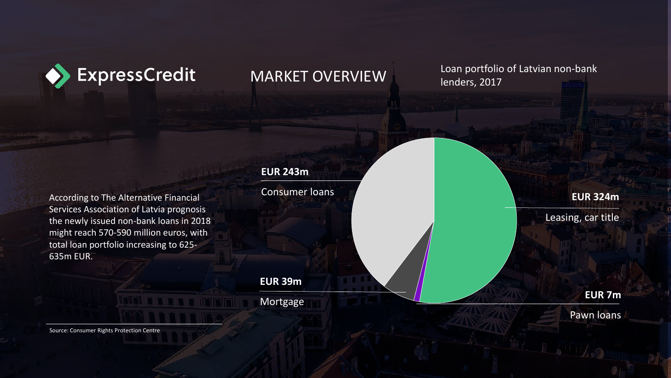

#### MARKET OVERVIEW

Loan portfolio of Latvian non-bank lenders, 2017

According to The Alternative Financial Services Association of Latvia prognosis the newly issued non-bank loans in 2018 might reach 570-590 million euros, with total loan portfolio increasing to 625- 635m EUR.

#### **EUR 243m**

Consumer loans

**EUR 39m**

Mortgage

**EUR 324m**

Leasing, car title

**EUR 7m**

Pawn loans

Source: Consumer Rights Protection Centre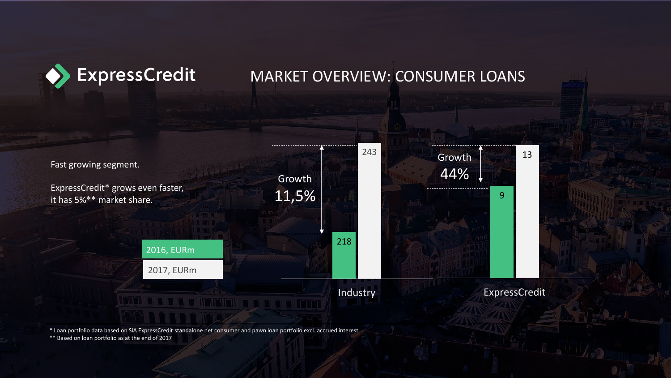

#### MARKET OVERVIEW: CONSUMER LOANS



\* Loan portfolio data based on SIA ExpressCredit standalone net consumer and pawn loan portfolio excl. accrued interest

\*\* Based on loan portfolio as at the end of 2017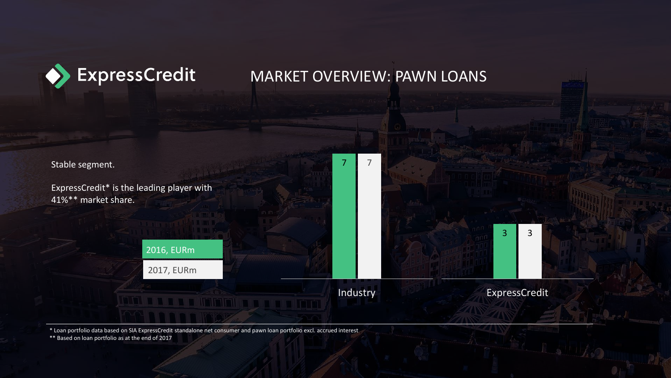

#### MARKET OVERVIEW: PAWN LOANS



\* Loan portfolio data based on SIA ExpressCredit standalone net consumer and pawn loan portfolio excl. accrued interest

\*\* Based on loan portfolio as at the end of 2017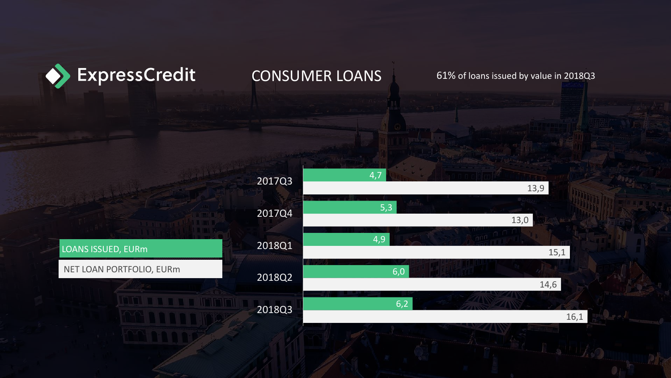

## CONSUMER LOANS 61% of loans issued by value in 2018Q3

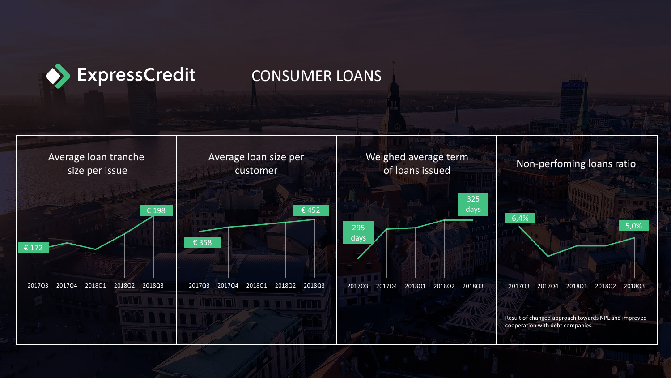

#### CONSUMER LOANS

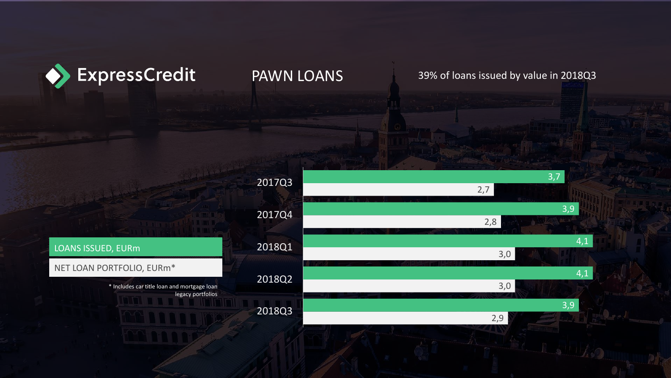

PAWN LOANS 39% of loans issued by value in 2018Q3



#### LOANS ISSUED, EURm

#### NET LOAN PORTFOLIO, EURm\*

\* Includes car title loan and mortgage loan legacy portfolios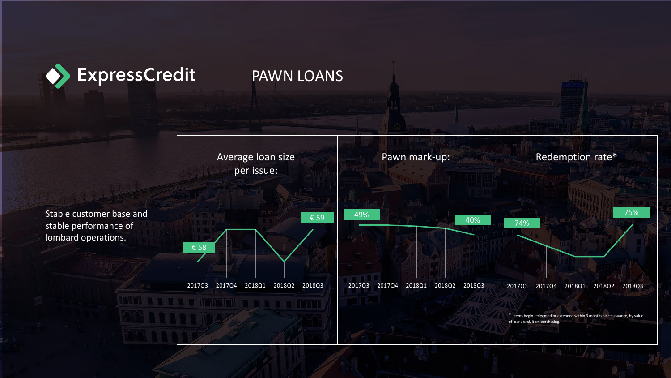

#### PAWN LOANS



stable performance of lombard operations.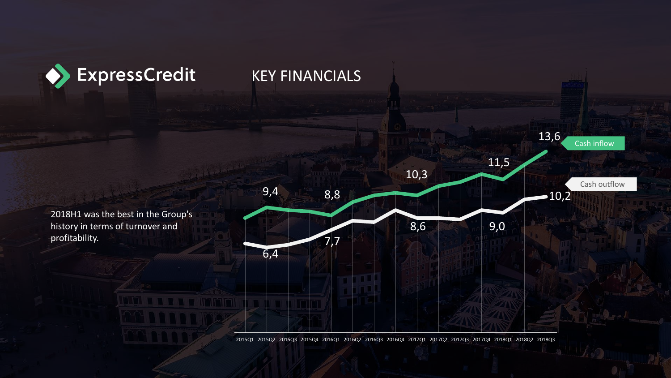

#### KEY FINANCIALS

2018H1 was the best in the Group's history in terms of turnover and profitability.



2015Q1 2015Q2 2015Q3 2015Q4 2016Q1 2016Q2 2016Q3 2016Q4 2017Q1 2017Q2 2017Q3 2017Q4 2018Q1 2018Q2 2018Q3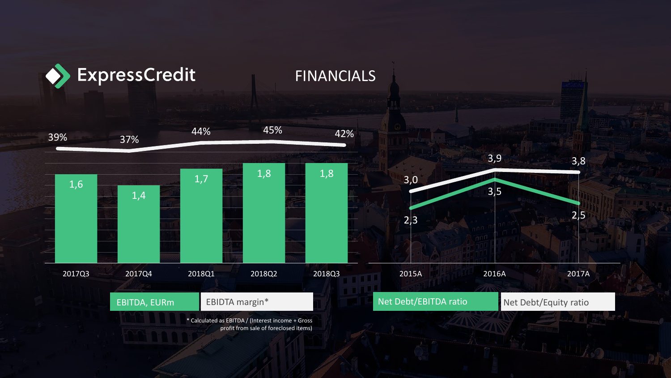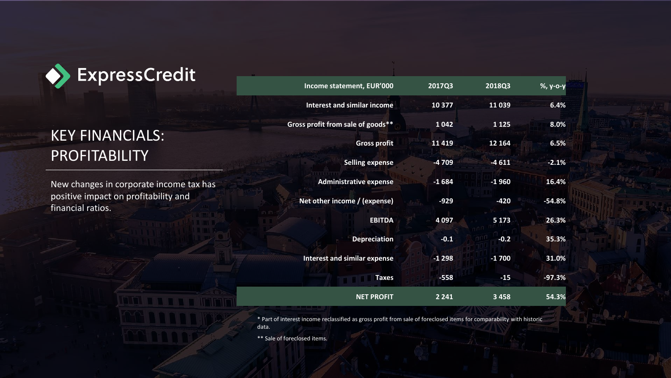

# KEY FINANCIALS: PROFITABILITY

New changes in corporate income tax has positive impact on profitability and financial ratios.

| Income statement, EUR'000           | 2017Q3  | 2018Q3  | %, у-о-у |
|-------------------------------------|---------|---------|----------|
| <b>Interest and similar income</b>  | 10 377  | 11039   | 6.4%     |
| Gross profit from sale of goods**   | 1 0 4 2 | 1 1 2 5 | 8.0%     |
| <b>Gross profit</b>                 | 11 4 19 | 12 164  | 6.5%     |
| <b>Selling expense</b>              | -4709   | $-4611$ | $-2.1%$  |
| <b>Administrative expense</b>       | $-1684$ | $-1960$ | 16.4%    |
| Net other income / (expense)        | $-929$  | $-420$  | $-54.8%$ |
| <b>EBITDA</b>                       | 4 0 9 7 | 5 1 7 3 | 26.3%    |
| <b>Depreciation</b>                 | $-0.1$  | $-0.2$  | 35.3%    |
| <b>Interest and similar expense</b> | $-1298$ | $-1700$ | 31.0%    |
| <b>Taxes</b>                        | $-558$  | $-15$   | $-97.3%$ |
| <b>NET PROFIT</b>                   | 2 2 4 1 | 3458    | 54.3%    |

\* Part of interest income reclassified as gross profit from sale of foreclosed items for comparability with historic data.

\*\* Sale of foreclosed items.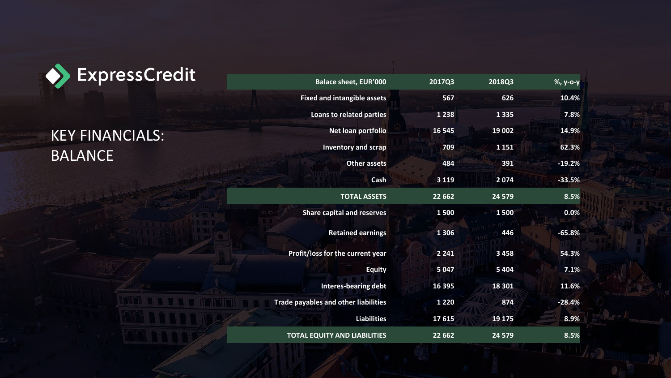

KEY FINANCIALS: BALANCE

| %, у-о-у | 2018Q3   | 2017Q3  | <b>Balace sheet, EUR'000</b>                |
|----------|----------|---------|---------------------------------------------|
| 10.4%    | 626      | 567     | <b>Fixed and intangible assets</b>          |
| 7.8%     | 1 3 3 5  | 1 2 3 8 | <b>Loans to related parties</b>             |
| 14.9%    | 19 002   | 16 5 45 | Net loan portfolio                          |
| 62.3%    | 1 1 5 1  | 709     | <b>Inventory and scrap</b>                  |
| $-19.2%$ | 391      | 484     | <b>Other assets</b>                         |
| $-33.5%$ | 2074     | 3 1 1 9 | Cash                                        |
| 8.5%     | 24 5 7 9 | 22 6 62 | <b>TOTAL ASSETS</b>                         |
| 0.0%     | 1500     | 1500    | <b>Share capital and reserves</b>           |
| $-65.8%$ | 446      | 1 3 0 6 | <b>Retained earnings</b>                    |
| 54.3%    | 3 4 5 8  | 2 2 4 1 | Profit/loss for the current year            |
| 7.1%     | 5 4 0 4  | 5 0 4 7 | <b>Equity</b>                               |
| 11.6%    | 18 301   | 16 395  | <b>Interes-bearing debt</b>                 |
| $-28.4%$ | 874      | 1 2 2 0 | <b>Trade payables and other liabilities</b> |
| 8.9%     | 19 175   | 17615   | <b>Liabilities</b>                          |
| 8.5%     | 24 5 7 9 | 22 6 62 | <b>TOTAL EQUITY AND LIABILITIES</b>         |
|          |          |         |                                             |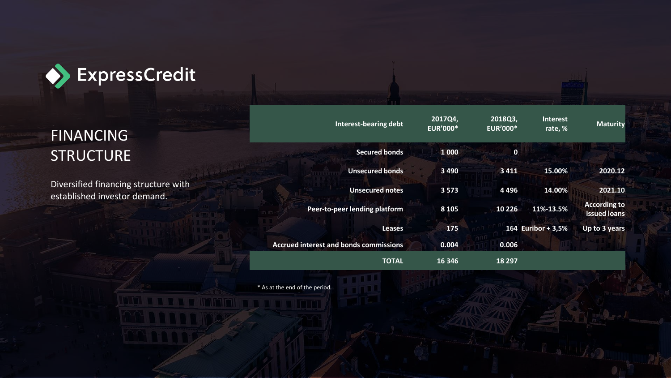

# FINANCING **STRUCTURE**

Diversified financing structure with established investor demand.

| <b>Interest-bearing debt</b>                  | 2017Q4,<br><b>EUR'000*</b> | 2018Q3,<br><b>EUR'000*</b> | <b>Interest</b><br>rate, % | <b>Maturity</b>                     |
|-----------------------------------------------|----------------------------|----------------------------|----------------------------|-------------------------------------|
| <b>Secured bonds</b>                          | 1 0 0 0                    | 0                          |                            |                                     |
| <b>Unsecured bonds</b>                        | 3 4 9 0                    | 3 4 1 1                    | 15.00%                     | 2020.12                             |
| <b>Unsecured notes</b>                        | 3 5 7 3                    | 4496                       | 14.00%                     | 2021.10                             |
| Peer-to-peer lending platform                 | 8 1 0 5                    | 10 226                     | 11%-13.5%                  | <b>According to</b><br>issued loans |
| <b>Leases</b>                                 | 175                        |                            | 164 Euribor + 3,5%         | Up to 3 years                       |
| <b>Accrued interest and bonds commissions</b> | 0.004                      | 0.006                      |                            |                                     |
| <b>TOTAL</b>                                  | 16 34 6                    | 18 297                     |                            |                                     |

\* As at the end of the period.